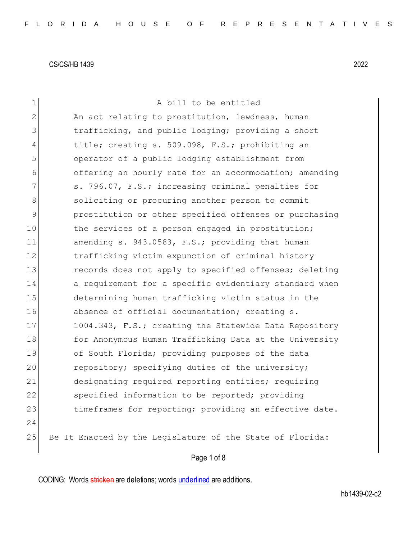| $\mathbf 1$    | A bill to be entitled                                     |
|----------------|-----------------------------------------------------------|
| $\overline{2}$ | An act relating to prostitution, lewdness, human          |
| 3              | trafficking, and public lodging; providing a short        |
| $\overline{4}$ | title; creating s. 509.098, F.S.; prohibiting an          |
| 5              | operator of a public lodging establishment from           |
| 6              | offering an hourly rate for an accommodation; amending    |
| 7              | s. 796.07, F.S.; increasing criminal penalties for        |
| 8              | soliciting or procuring another person to commit          |
| $\mathcal{G}$  | prostitution or other specified offenses or purchasing    |
| 10             | the services of a person engaged in prostitution;         |
| 11             | amending s. 943.0583, F.S.; providing that human          |
| 12             | trafficking victim expunction of criminal history         |
| 13             | records does not apply to specified offenses; deleting    |
| 14             | a requirement for a specific evidentiary standard when    |
| 15             | determining human trafficking victim status in the        |
| 16             | absence of official documentation; creating s.            |
| 17             | 1004.343, F.S.; creating the Statewide Data Repository    |
| 18             | for Anonymous Human Trafficking Data at the University    |
| 19             | of South Florida; providing purposes of the data          |
| 20             | repository; specifying duties of the university;          |
| 21             | designating required reporting entities; requiring        |
| 22             | specified information to be reported; providing           |
| 23             | timeframes for reporting; providing an effective date.    |
| 24             |                                                           |
| 25             | Be It Enacted by the Legislature of the State of Florida: |
|                | Page 1 of 8                                               |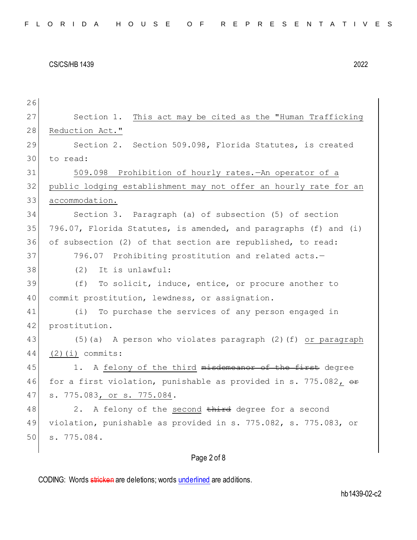| 26 |                                                                       |
|----|-----------------------------------------------------------------------|
| 27 | Section 1. This act may be cited as the "Human Trafficking            |
| 28 | Reduction Act."                                                       |
| 29 | Section 2. Section 509.098, Florida Statutes, is created              |
| 30 | to read:                                                              |
| 31 | 509.098 Prohibition of hourly rates. - An operator of a               |
| 32 | public lodging establishment may not offer an hourly rate for an      |
| 33 | accommodation.                                                        |
| 34 | Section 3. Paragraph (a) of subsection (5) of section                 |
| 35 | 796.07, Florida Statutes, is amended, and paragraphs (f) and (i)      |
| 36 | of subsection (2) of that section are republished, to read:           |
| 37 | 796.07 Prohibiting prostitution and related acts.-                    |
| 38 | It is unlawful:<br>(2)                                                |
| 39 | (f) To solicit, induce, entice, or procure another to                 |
| 40 | commit prostitution, lewdness, or assignation.                        |
| 41 | (i) To purchase the services of any person engaged in                 |
| 42 | prostitution.                                                         |
| 43 | (5) (a) A person who violates paragraph (2) (f) or paragraph          |
| 44 | $(2)(i)$ commits:                                                     |
| 45 | 1. A felony of the third misdemeanor of the first degree              |
| 46 | for a first violation, punishable as provided in s. 775.082, $\theta$ |
| 47 | s. 775.083, or s. 775.084.                                            |
| 48 | 2. A felony of the second third degree for a second                   |
| 49 | violation, punishable as provided in s. 775.082, s. 775.083, or       |
| 50 | s. 775.084.                                                           |
|    |                                                                       |

# Page 2 of 8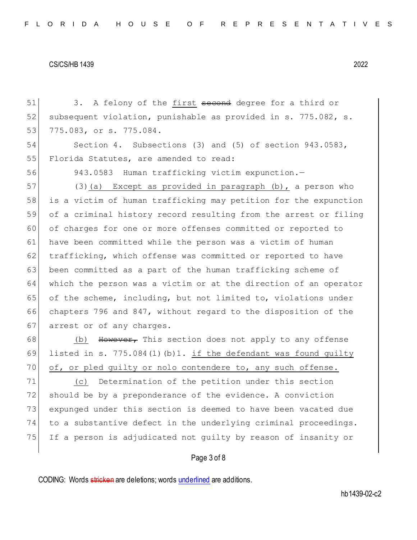51 3. A felony of the first second degree for a third or 52 subsequent violation, punishable as provided in s. 775.082, s. 53 775.083, or s. 775.084. 54 Section 4. Subsections (3) and (5) of section 943.0583, 55 Florida Statutes, are amended to read: 56 943.0583 Human trafficking victim expunction.— 57 (3)(a) Except as provided in paragraph (b), a person who 58 is a victim of human trafficking may petition for the expunction 59 of a criminal history record resulting from the arrest or filing 60 of charges for one or more offenses committed or reported to 61 have been committed while the person was a victim of human 62 trafficking, which offense was committed or reported to have 63 been committed as a part of the human trafficking scheme of 64 which the person was a victim or at the direction of an operator 65 of the scheme, including, but not limited to, violations under 66 chapters 796 and 847, without regard to the disposition of the 67 arrest or of any charges. 68 (b) However, This section does not apply to any offense 69 listed in s. 775.084(1)(b)1. if the defendant was found guilty 70 of, or pled guilty or nolo contendere to, any such offense. 71 (c) Determination of the petition under this section 72 should be by a preponderance of the evidence. A conviction 73 expunged under this section is deemed to have been vacated due 74 to a substantive defect in the underlying criminal proceedings.

## Page 3 of 8

75 If a person is adjudicated not guilty by reason of insanity or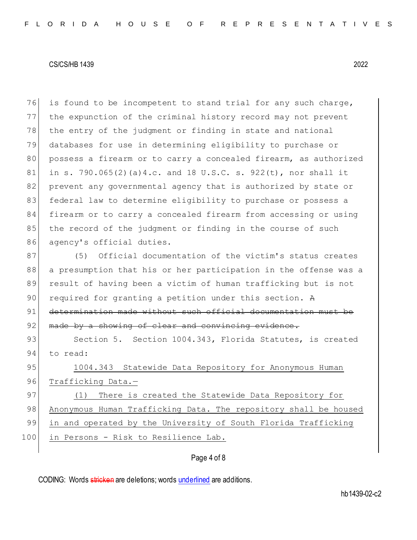76 is found to be incompetent to stand trial for any such charge, 77 the expunction of the criminal history record may not prevent 78 the entry of the judgment or finding in state and national 79 databases for use in determining eligibility to purchase or 80 | possess a firearm or to carry a concealed firearm, as authorized 81 in s. 790.065(2)(a)4.c. and 18 U.S.C. s. 922(t), nor shall it 82 prevent any governmental agency that is authorized by state or 83 federal law to determine eligibility to purchase or possess a 84 firearm or to carry a concealed firearm from accessing or using 85 the record of the judgment or finding in the course of such 86 agency's official duties.

87 (5) Official documentation of the victim's status creates 88 a presumption that his or her participation in the offense was a 89 result of having been a victim of human trafficking but is not 90 required for granting a petition under this section. A 91 determination made without such official documentation must be 92 made by a showing of clear and convincing evidence.

93 Section 5. Section 1004.343, Florida Statutes, is created 94 to read:

95 1004.343 Statewide Data Repository for Anonymous Human 96 Trafficking Data.-

97 (1) There is created the Statewide Data Repository for 98 Anonymous Human Trafficking Data. The repository shall be housed 99 in and operated by the University of South Florida Trafficking 100 in Persons - Risk to Resilience Lab.

## Page 4 of 8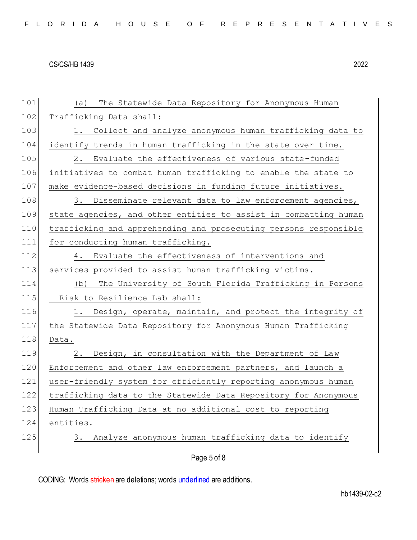| FLORIDA HOUSE OF REPRESENTATIVES |  |
|----------------------------------|--|
|----------------------------------|--|

| 101 | The Statewide Data Repository for Anonymous Human<br>(a)         |
|-----|------------------------------------------------------------------|
| 102 | Trafficking Data shall:                                          |
| 103 | 1. Collect and analyze anonymous human trafficking data to       |
| 104 | identify trends in human trafficking in the state over time.     |
| 105 | 2.<br>Evaluate the effectiveness of various state-funded         |
| 106 | initiatives to combat human trafficking to enable the state to   |
| 107 | make evidence-based decisions in funding future initiatives.     |
| 108 | 3. Disseminate relevant data to law enforcement agencies,        |
| 109 | state agencies, and other entities to assist in combatting human |
| 110 | trafficking and apprehending and prosecuting persons responsible |
| 111 | for conducting human trafficking.                                |
| 112 | 4. Evaluate the effectiveness of interventions and               |
| 113 | services provided to assist human trafficking victims.           |
| 114 | The University of South Florida Trafficking in Persons<br>(b)    |
| 115 | - Risk to Resilience Lab shall:                                  |
| 116 | Design, operate, maintain, and protect the integrity of<br>1.    |
| 117 | the Statewide Data Repository for Anonymous Human Trafficking    |
| 118 | Data.                                                            |
| 119 | Design, in consultation with the Department of Law<br>2.         |
| 120 | Enforcement and other law enforcement partners, and launch a     |
| 121 | user-friendly system for efficiently reporting anonymous human   |
| 122 | trafficking data to the Statewide Data Repository for Anonymous  |
| 123 | Human Trafficking Data at no additional cost to reporting        |
| 124 | entities.                                                        |
| 125 | Analyze anonymous human trafficking data to identify<br>3.       |
|     | Page 5 of 8                                                      |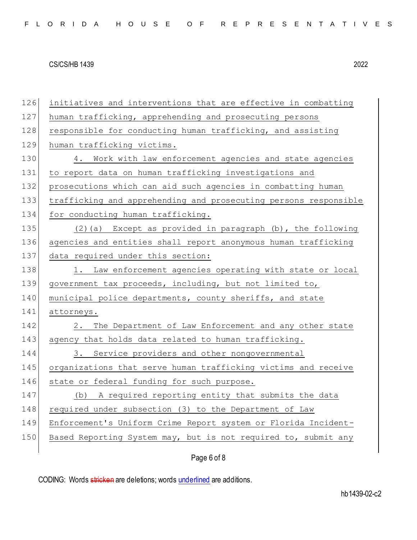| 126 | initiatives and interventions that are effective in combatting   |
|-----|------------------------------------------------------------------|
| 127 | human trafficking, apprehending and prosecuting persons          |
| 128 | responsible for conducting human trafficking, and assisting      |
| 129 | human trafficking victims.                                       |
| 130 | 4. Work with law enforcement agencies and state agencies         |
| 131 | to report data on human trafficking investigations and           |
| 132 | prosecutions which can aid such agencies in combatting human     |
| 133 | trafficking and apprehending and prosecuting persons responsible |
| 134 | for conducting human trafficking.                                |
| 135 | (2)(a) Except as provided in paragraph (b), the following        |
| 136 | agencies and entities shall report anonymous human trafficking   |
| 137 | data required under this section:                                |
| 138 | 1. Law enforcement agencies operating with state or local        |
| 139 | government tax proceeds, including, but not limited to,          |
| 140 | municipal police departments, county sheriffs, and state         |
| 141 | attorneys.                                                       |
| 142 | The Department of Law Enforcement and any other state<br>2.      |
| 143 | agency that holds data related to human trafficking.             |
| 144 | 3. Service providers and other nongovernmental                   |
| 145 | organizations that serve human trafficking victims and receive   |
| 146 | state or federal funding for such purpose.                       |
| 147 | A required reporting entity that submits the data<br>(b)         |
| 148 | required under subsection (3) to the Department of Law           |
| 149 | Enforcement's Uniform Crime Report system or Florida Incident-   |
| 150 | Based Reporting System may, but is not required to, submit any   |
|     |                                                                  |

# Page 6 of 8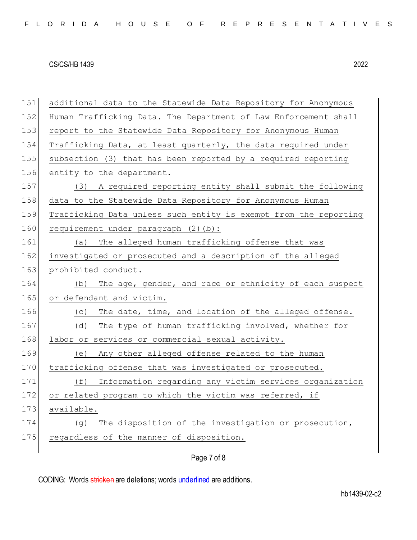| 151 | additional data to the Statewide Data Repository for Anonymous   |
|-----|------------------------------------------------------------------|
| 152 | Human Trafficking Data. The Department of Law Enforcement shall  |
| 153 | report to the Statewide Data Repository for Anonymous Human      |
| 154 | Trafficking Data, at least quarterly, the data required under    |
| 155 | subsection (3) that has been reported by a required reporting    |
| 156 | entity to the department.                                        |
| 157 | (3) A required reporting entity shall submit the following       |
| 158 | data to the Statewide Data Repository for Anonymous Human        |
| 159 | Trafficking Data unless such entity is exempt from the reporting |
| 160 | requirement under paragraph (2)(b):                              |
| 161 | The alleged human trafficking offense that was<br>(a)            |
| 162 | investigated or prosecuted and a description of the alleged      |
| 163 | prohibited conduct.                                              |
| 164 | The age, gender, and race or ethnicity of each suspect<br>(b)    |
| 165 | or defendant and victim.                                         |
| 166 | The date, time, and location of the alleged offense.<br>(C)      |
| 167 | The type of human trafficking involved, whether for<br>(d)       |
| 168 | labor or services or commercial sexual activity.                 |
| 169 | (e) Any other alleged offense related to the human               |
| 170 | trafficking offense that was investigated or prosecuted.         |
| 171 | Information regarding any victim services organization<br>(f)    |
| 172 | or related program to which the victim was referred, if          |
| 173 | available.                                                       |
| 174 | The disposition of the investigation or prosecution,<br>(g)      |
| 175 | regardless of the manner of disposition.                         |
|     | Page 7 of 8                                                      |